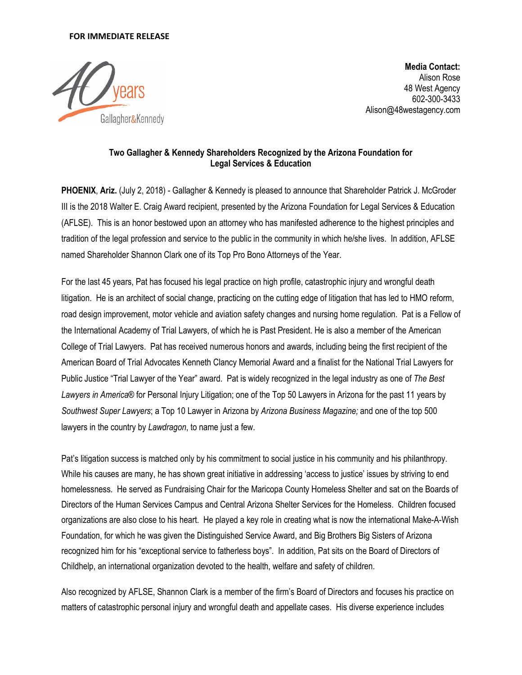## **FOR IMMEDIATE RELEASE**



**Media Contact:**  Alison Rose 48 West Agency 602-300-3433 Alison@48westagency.com

## **Two Gallagher & Kennedy Shareholders Recognized by the Arizona Foundation for Legal Services & Education**

**PHOENIX**, **Ariz.** (July 2, 2018) - Gallagher & Kennedy is pleased to announce that Shareholder Patrick J. McGroder III is the 2018 Walter E. Craig Award recipient, presented by the Arizona Foundation for Legal Services & Education (AFLSE). This is an honor bestowed upon an attorney who has manifested adherence to the highest principles and tradition of the legal profession and service to the public in the community in which he/she lives. In addition, AFLSE named Shareholder Shannon Clark one of its Top Pro Bono Attorneys of the Year.

For the last 45 years, Pat has focused his legal practice on high profile, catastrophic injury and wrongful death litigation. He is an architect of social change, practicing on the cutting edge of litigation that has led to HMO reform, road design improvement, motor vehicle and aviation safety changes and nursing home regulation. Pat is a Fellow of the International Academy of Trial Lawyers, of which he is Past President. He is also a member of the American College of Trial Lawyers. Pat has received numerous honors and awards, including being the first recipient of the American Board of Trial Advocates Kenneth Clancy Memorial Award and a finalist for the National Trial Lawyers for Public Justice "Trial Lawyer of the Year" award. Pat is widely recognized in the legal industry as one of *The Best Lawyers in America®* for Personal Injury Litigation; one of the Top 50 Lawyers in Arizona for the past 11 years by *Southwest Super Lawyers*; a Top 10 Lawyer in Arizona by *Arizona Business Magazine;* and one of the top 500 lawyers in the country by *Lawdragon*, to name just a few.

Pat's litigation success is matched only by his commitment to social justice in his community and his philanthropy. While his causes are many, he has shown great initiative in addressing 'access to justice' issues by striving to end homelessness. He served as Fundraising Chair for the Maricopa County Homeless Shelter and sat on the Boards of Directors of the Human Services Campus and Central Arizona Shelter Services for the Homeless. Children focused organizations are also close to his heart. He played a key role in creating what is now the international Make-A-Wish Foundation, for which he was given the Distinguished Service Award, and Big Brothers Big Sisters of Arizona recognized him for his "exceptional service to fatherless boys". In addition, Pat sits on the Board of Directors of Childhelp, an international organization devoted to the health, welfare and safety of children.

Also recognized by AFLSE, Shannon Clark is a member of the firm's Board of Directors and focuses his practice on matters of catastrophic personal injury and wrongful death and appellate cases. His diverse experience includes